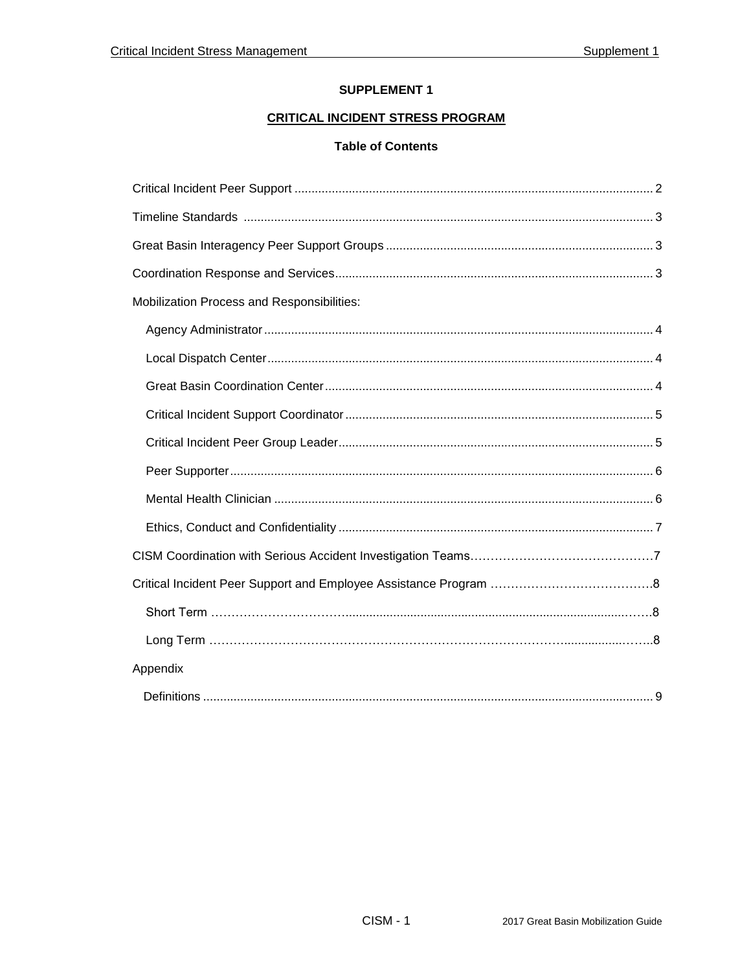## **SUPPLEMENT 1**

# **CRITICAL INCIDENT STRESS PROGRAM**

## **Table of Contents**

| Mobilization Process and Responsibilities: |
|--------------------------------------------|
|                                            |
|                                            |
|                                            |
|                                            |
|                                            |
|                                            |
|                                            |
|                                            |
|                                            |
|                                            |
|                                            |
|                                            |
| Appendix                                   |
|                                            |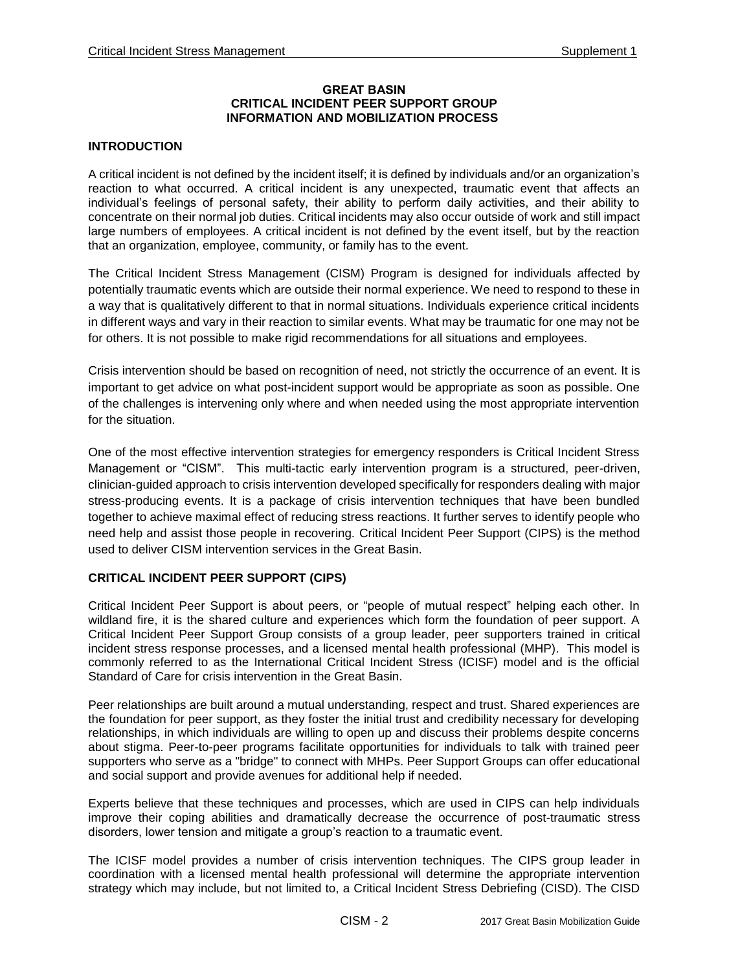#### **GREAT BASIN CRITICAL INCIDENT PEER SUPPORT GROUP INFORMATION AND MOBILIZATION PROCESS**

## **INTRODUCTION**

A critical incident is not defined by the incident itself; it is defined by individuals and/or an organization's reaction to what occurred. A critical incident is any unexpected, traumatic event that affects an individual's feelings of personal safety, their ability to perform daily activities, and their ability to concentrate on their normal job duties. Critical incidents may also occur outside of work and still impact large numbers of employees. A critical incident is not defined by the event itself, but by the reaction that an organization, employee, community, or family has to the event.

The Critical Incident Stress Management (CISM) Program is designed for individuals affected by potentially traumatic events which are outside their normal experience. We need to respond to these in a way that is qualitatively different to that in normal situations. Individuals experience critical incidents in different ways and vary in their reaction to similar events. What may be traumatic for one may not be for others. It is not possible to make rigid recommendations for all situations and employees.

Crisis intervention should be based on recognition of need, not strictly the occurrence of an event. It is important to get advice on what post-incident support would be appropriate as soon as possible. One of the challenges is intervening only where and when needed using the most appropriate intervention for the situation.

One of the most effective intervention strategies for emergency responders is Critical Incident Stress Management or "CISM". This multi-tactic early intervention program is a structured, peer-driven, clinician-guided approach to crisis intervention developed specifically for responders dealing with major stress-producing events. It is a package of crisis intervention techniques that have been bundled together to achieve maximal effect of reducing stress reactions. It further serves to identify people who need help and assist those people in recovering. Critical Incident Peer Support (CIPS) is the method used to deliver CISM intervention services in the Great Basin.

#### **CRITICAL INCIDENT PEER SUPPORT (CIPS)**

Critical Incident Peer Support is about peers, or "people of mutual respect" helping each other. In wildland fire, it is the shared culture and experiences which form the foundation of peer support. A Critical Incident Peer Support Group consists of a group leader, peer supporters trained in critical incident stress response processes, and a licensed mental health professional (MHP). This model is commonly referred to as the International Critical Incident Stress (ICISF) model and is the official Standard of Care for crisis intervention in the Great Basin.

Peer relationships are built around a mutual understanding, respect and trust. Shared experiences are the foundation for peer support, as they foster the initial trust and credibility necessary for developing relationships, in which individuals are willing to open up and discuss their problems despite concerns about stigma. Peer-to-peer programs facilitate opportunities for individuals to talk with trained peer supporters who serve as a "bridge" to connect with MHPs. Peer Support Groups can offer educational and social support and provide avenues for additional help if needed.

Experts believe that these techniques and processes, which are used in CIPS can help individuals improve their coping abilities and dramatically decrease the occurrence of post-traumatic stress disorders, lower tension and mitigate a group's reaction to a traumatic event.

The ICISF model provides a number of crisis intervention techniques. The CIPS group leader in coordination with a licensed mental health professional will determine the appropriate intervention strategy which may include, but not limited to, a Critical Incident Stress Debriefing (CISD). The CISD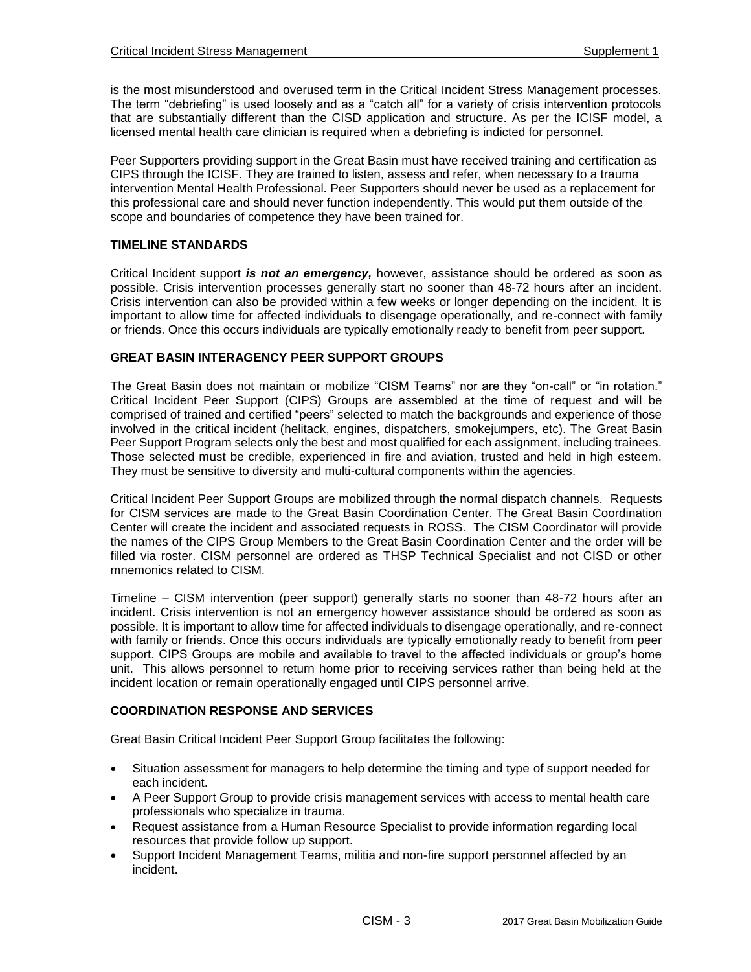is the most misunderstood and overused term in the Critical Incident Stress Management processes. The term "debriefing" is used loosely and as a "catch all" for a variety of crisis intervention protocols that are substantially different than the CISD application and structure. As per the ICISF model, a licensed mental health care clinician is required when a debriefing is indicted for personnel.

Peer Supporters providing support in the Great Basin must have received training and certification as CIPS through the ICISF. They are trained to listen, assess and refer, when necessary to a trauma intervention Mental Health Professional. Peer Supporters should never be used as a replacement for this professional care and should never function independently. This would put them outside of the scope and boundaries of competence they have been trained for.

### **TIMELINE STANDARDS**

Critical Incident support *is not an emergency,* however, assistance should be ordered as soon as possible. Crisis intervention processes generally start no sooner than 48-72 hours after an incident. Crisis intervention can also be provided within a few weeks or longer depending on the incident. It is important to allow time for affected individuals to disengage operationally, and re-connect with family or friends. Once this occurs individuals are typically emotionally ready to benefit from peer support.

## **GREAT BASIN INTERAGENCY PEER SUPPORT GROUPS**

The Great Basin does not maintain or mobilize "CISM Teams" nor are they "on-call" or "in rotation." Critical Incident Peer Support (CIPS) Groups are assembled at the time of request and will be comprised of trained and certified "peers" selected to match the backgrounds and experience of those involved in the critical incident (helitack, engines, dispatchers, smokejumpers, etc). The Great Basin Peer Support Program selects only the best and most qualified for each assignment, including trainees. Those selected must be credible, experienced in fire and aviation, trusted and held in high esteem. They must be sensitive to diversity and multi-cultural components within the agencies.

Critical Incident Peer Support Groups are mobilized through the normal dispatch channels. Requests for CISM services are made to the Great Basin Coordination Center. The Great Basin Coordination Center will create the incident and associated requests in ROSS. The CISM Coordinator will provide the names of the CIPS Group Members to the Great Basin Coordination Center and the order will be filled via roster. CISM personnel are ordered as THSP Technical Specialist and not CISD or other mnemonics related to CISM.

Timeline – CISM intervention (peer support) generally starts no sooner than 48-72 hours after an incident. Crisis intervention is not an emergency however assistance should be ordered as soon as possible. It is important to allow time for affected individuals to disengage operationally, and re-connect with family or friends. Once this occurs individuals are typically emotionally ready to benefit from peer support. CIPS Groups are mobile and available to travel to the affected individuals or group's home unit. This allows personnel to return home prior to receiving services rather than being held at the incident location or remain operationally engaged until CIPS personnel arrive.

## **COORDINATION RESPONSE AND SERVICES**

Great Basin Critical Incident Peer Support Group facilitates the following:

- Situation assessment for managers to help determine the timing and type of support needed for each incident.
- A Peer Support Group to provide crisis management services with access to mental health care professionals who specialize in trauma.
- Request assistance from a Human Resource Specialist to provide information regarding local resources that provide follow up support.
- Support Incident Management Teams, militia and non-fire support personnel affected by an incident.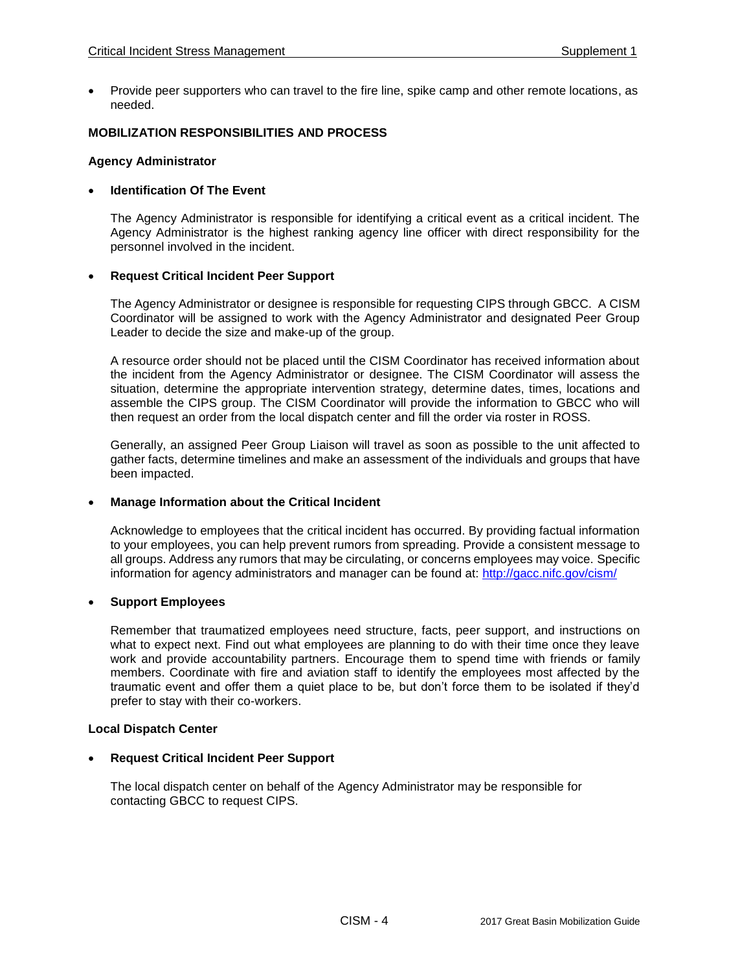Provide peer supporters who can travel to the fire line, spike camp and other remote locations, as needed.

#### **MOBILIZATION RESPONSIBILITIES AND PROCESS**

#### **Agency Administrator**

## **Identification Of The Event**

The Agency Administrator is responsible for identifying a critical event as a critical incident. The Agency Administrator is the highest ranking agency line officer with direct responsibility for the personnel involved in the incident.

#### **Request Critical Incident Peer Support**

The Agency Administrator or designee is responsible for requesting CIPS through GBCC. A CISM Coordinator will be assigned to work with the Agency Administrator and designated Peer Group Leader to decide the size and make-up of the group.

A resource order should not be placed until the CISM Coordinator has received information about the incident from the Agency Administrator or designee. The CISM Coordinator will assess the situation, determine the appropriate intervention strategy, determine dates, times, locations and assemble the CIPS group. The CISM Coordinator will provide the information to GBCC who will then request an order from the local dispatch center and fill the order via roster in ROSS.

Generally, an assigned Peer Group Liaison will travel as soon as possible to the unit affected to gather facts, determine timelines and make an assessment of the individuals and groups that have been impacted.

#### **Manage Information about the Critical Incident**

Acknowledge to employees that the critical incident has occurred. By providing factual information to your employees, you can help prevent rumors from spreading. Provide a consistent message to all groups. Address any rumors that may be circulating, or concerns employees may voice. Specific information for agency administrators and manager can be found at:<http://gacc.nifc.gov/cism/>

#### **Support Employees**

Remember that traumatized employees need structure, facts, peer support, and instructions on what to expect next. Find out what employees are planning to do with their time once they leave work and provide accountability partners. Encourage them to spend time with friends or family members. Coordinate with fire and aviation staff to identify the employees most affected by the traumatic event and offer them a quiet place to be, but don't force them to be isolated if they'd prefer to stay with their co-workers.

#### **Local Dispatch Center**

#### **Request Critical Incident Peer Support**

The local dispatch center on behalf of the Agency Administrator may be responsible for contacting GBCC to request CIPS.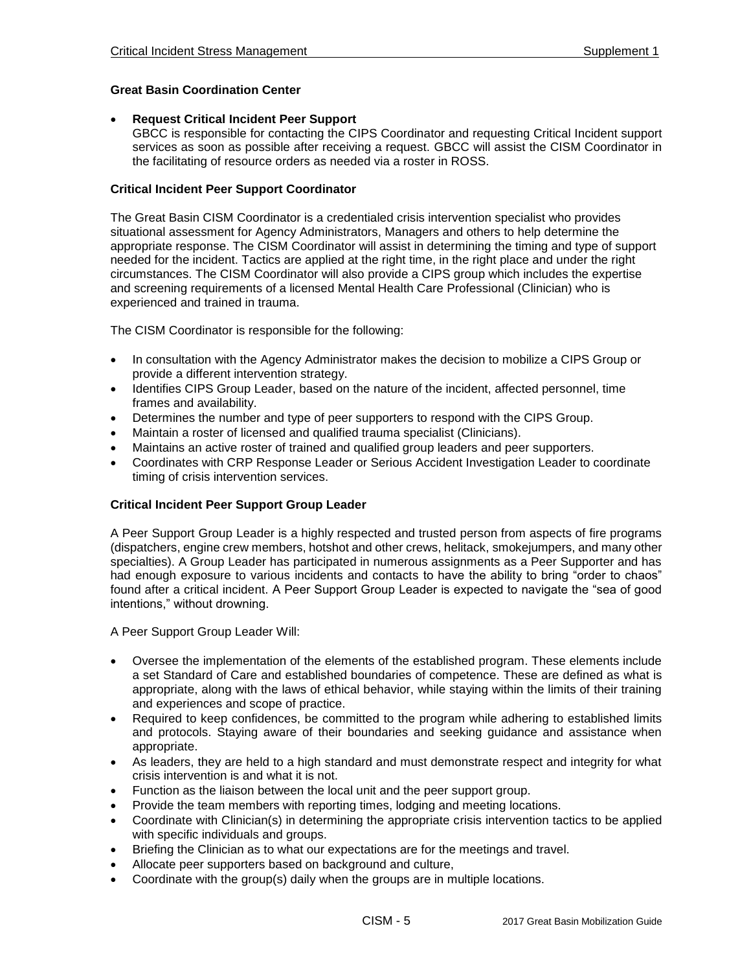## **Great Basin Coordination Center**

#### **Request Critical Incident Peer Support**

GBCC is responsible for contacting the CIPS Coordinator and requesting Critical Incident support services as soon as possible after receiving a request. GBCC will assist the CISM Coordinator in the facilitating of resource orders as needed via a roster in ROSS.

## **Critical Incident Peer Support Coordinator**

The Great Basin CISM Coordinator is a credentialed crisis intervention specialist who provides situational assessment for Agency Administrators, Managers and others to help determine the appropriate response. The CISM Coordinator will assist in determining the timing and type of support needed for the incident. Tactics are applied at the right time, in the right place and under the right circumstances. The CISM Coordinator will also provide a CIPS group which includes the expertise and screening requirements of a licensed Mental Health Care Professional (Clinician) who is experienced and trained in trauma.

The CISM Coordinator is responsible for the following:

- In consultation with the Agency Administrator makes the decision to mobilize a CIPS Group or provide a different intervention strategy.
- Identifies CIPS Group Leader, based on the nature of the incident, affected personnel, time frames and availability.
- Determines the number and type of peer supporters to respond with the CIPS Group.
- Maintain a roster of licensed and qualified trauma specialist (Clinicians).
- Maintains an active roster of trained and qualified group leaders and peer supporters.
- Coordinates with CRP Response Leader or Serious Accident Investigation Leader to coordinate timing of crisis intervention services.

## **Critical Incident Peer Support Group Leader**

A Peer Support Group Leader is a highly respected and trusted person from aspects of fire programs (dispatchers, engine crew members, hotshot and other crews, helitack, smokejumpers, and many other specialties). A Group Leader has participated in numerous assignments as a Peer Supporter and has had enough exposure to various incidents and contacts to have the ability to bring "order to chaos" found after a critical incident. A Peer Support Group Leader is expected to navigate the "sea of good intentions," without drowning.

A Peer Support Group Leader Will:

- Oversee the implementation of the elements of the established program. These elements include a set Standard of Care and established boundaries of competence. These are defined as what is appropriate, along with the laws of ethical behavior, while staying within the limits of their training and experiences and scope of practice.
- Required to keep confidences, be committed to the program while adhering to established limits and protocols. Staying aware of their boundaries and seeking guidance and assistance when appropriate.
- As leaders, they are held to a high standard and must demonstrate respect and integrity for what crisis intervention is and what it is not.
- Function as the liaison between the local unit and the peer support group.
- Provide the team members with reporting times, lodging and meeting locations.
- Coordinate with Clinician(s) in determining the appropriate crisis intervention tactics to be applied with specific individuals and groups.
- Briefing the Clinician as to what our expectations are for the meetings and travel.
- Allocate peer supporters based on background and culture,
- Coordinate with the group(s) daily when the groups are in multiple locations.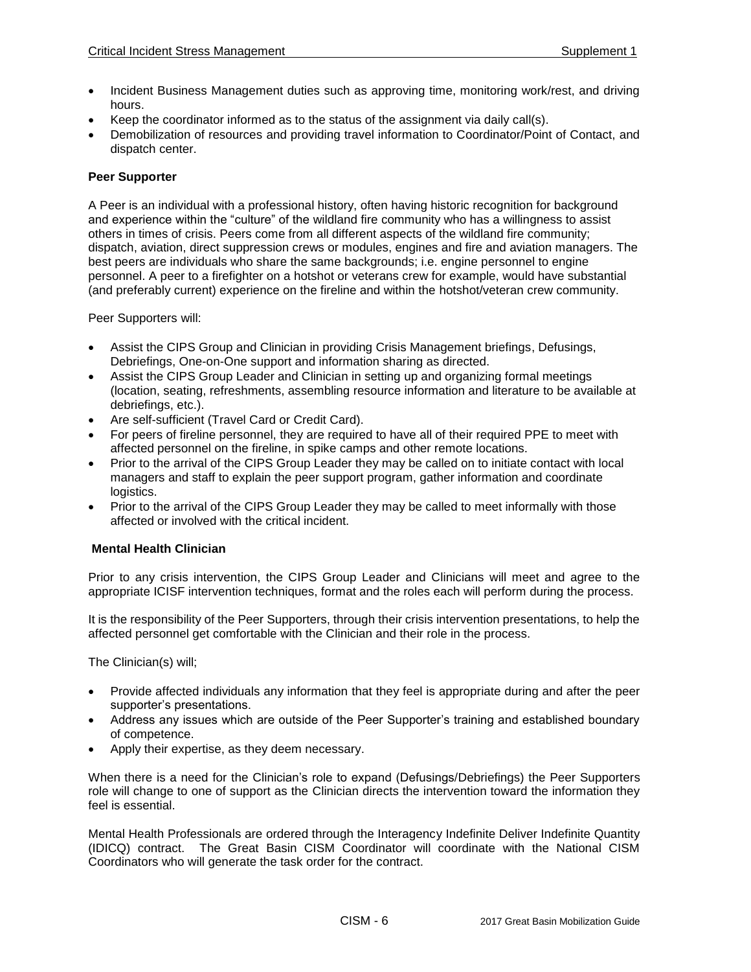- Incident Business Management duties such as approving time, monitoring work/rest, and driving hours.
- Keep the coordinator informed as to the status of the assignment via daily call(s).
- Demobilization of resources and providing travel information to Coordinator/Point of Contact, and dispatch center.

#### **Peer Supporter**

A Peer is an individual with a professional history, often having historic recognition for background and experience within the "culture" of the wildland fire community who has a willingness to assist others in times of crisis. Peers come from all different aspects of the wildland fire community; dispatch, aviation, direct suppression crews or modules, engines and fire and aviation managers. The best peers are individuals who share the same backgrounds; i.e. engine personnel to engine personnel. A peer to a firefighter on a hotshot or veterans crew for example, would have substantial (and preferably current) experience on the fireline and within the hotshot/veteran crew community.

Peer Supporters will:

- Assist the CIPS Group and Clinician in providing Crisis Management briefings, Defusings, Debriefings, One-on-One support and information sharing as directed.
- Assist the CIPS Group Leader and Clinician in setting up and organizing formal meetings (location, seating, refreshments, assembling resource information and literature to be available at debriefings, etc.).
- Are self-sufficient (Travel Card or Credit Card).
- For peers of fireline personnel, they are required to have all of their required PPE to meet with affected personnel on the fireline, in spike camps and other remote locations.
- Prior to the arrival of the CIPS Group Leader they may be called on to initiate contact with local managers and staff to explain the peer support program, gather information and coordinate logistics.
- Prior to the arrival of the CIPS Group Leader they may be called to meet informally with those affected or involved with the critical incident.

#### **Mental Health Clinician**

Prior to any crisis intervention, the CIPS Group Leader and Clinicians will meet and agree to the appropriate ICISF intervention techniques, format and the roles each will perform during the process.

It is the responsibility of the Peer Supporters, through their crisis intervention presentations, to help the affected personnel get comfortable with the Clinician and their role in the process.

The Clinician(s) will;

- Provide affected individuals any information that they feel is appropriate during and after the peer supporter's presentations.
- Address any issues which are outside of the Peer Supporter's training and established boundary of competence.
- Apply their expertise, as they deem necessary.

When there is a need for the Clinician's role to expand (Defusings/Debriefings) the Peer Supporters role will change to one of support as the Clinician directs the intervention toward the information they feel is essential.

Mental Health Professionals are ordered through the Interagency Indefinite Deliver Indefinite Quantity (IDICQ) contract. The Great Basin CISM Coordinator will coordinate with the National CISM Coordinators who will generate the task order for the contract.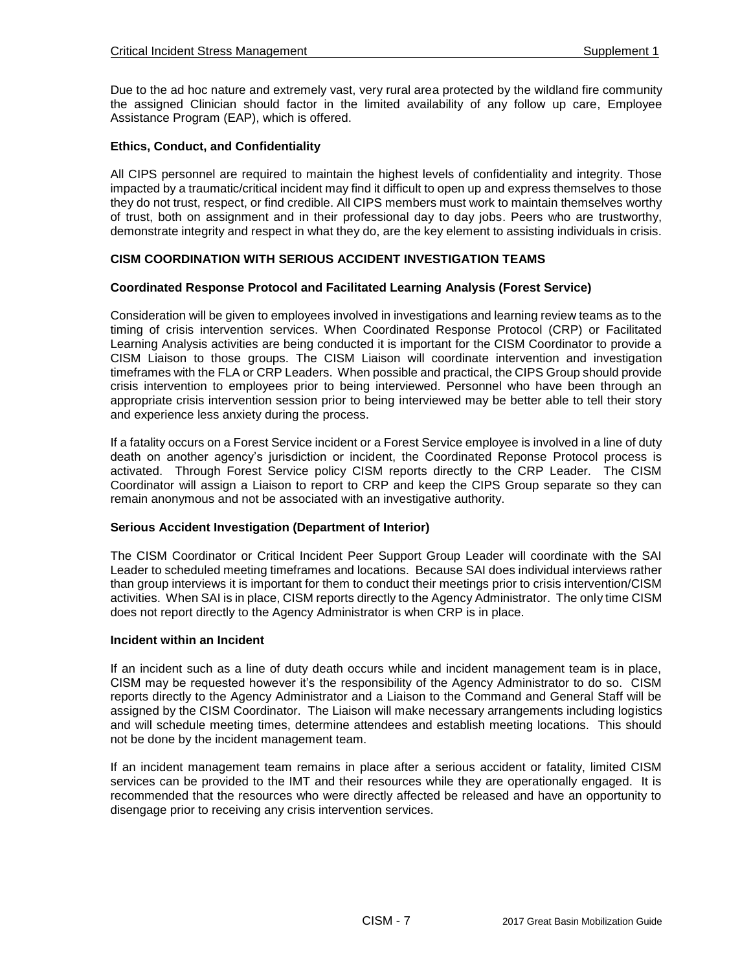Due to the ad hoc nature and extremely vast, very rural area protected by the wildland fire community the assigned Clinician should factor in the limited availability of any follow up care, Employee Assistance Program (EAP), which is offered.

## **Ethics, Conduct, and Confidentiality**

All CIPS personnel are required to maintain the highest levels of confidentiality and integrity. Those impacted by a traumatic/critical incident may find it difficult to open up and express themselves to those they do not trust, respect, or find credible. All CIPS members must work to maintain themselves worthy of trust, both on assignment and in their professional day to day jobs. Peers who are trustworthy, demonstrate integrity and respect in what they do, are the key element to assisting individuals in crisis.

## **CISM COORDINATION WITH SERIOUS ACCIDENT INVESTIGATION TEAMS**

## **Coordinated Response Protocol and Facilitated Learning Analysis (Forest Service)**

Consideration will be given to employees involved in investigations and learning review teams as to the timing of crisis intervention services. When Coordinated Response Protocol (CRP) or Facilitated Learning Analysis activities are being conducted it is important for the CISM Coordinator to provide a CISM Liaison to those groups. The CISM Liaison will coordinate intervention and investigation timeframes with the FLA or CRP Leaders. When possible and practical, the CIPS Group should provide crisis intervention to employees prior to being interviewed. Personnel who have been through an appropriate crisis intervention session prior to being interviewed may be better able to tell their story and experience less anxiety during the process.

If a fatality occurs on a Forest Service incident or a Forest Service employee is involved in a line of duty death on another agency's jurisdiction or incident, the Coordinated Reponse Protocol process is activated. Through Forest Service policy CISM reports directly to the CRP Leader. The CISM Coordinator will assign a Liaison to report to CRP and keep the CIPS Group separate so they can remain anonymous and not be associated with an investigative authority.

#### **Serious Accident Investigation (Department of Interior)**

The CISM Coordinator or Critical Incident Peer Support Group Leader will coordinate with the SAI Leader to scheduled meeting timeframes and locations. Because SAI does individual interviews rather than group interviews it is important for them to conduct their meetings prior to crisis intervention/CISM activities. When SAI is in place, CISM reports directly to the Agency Administrator. The only time CISM does not report directly to the Agency Administrator is when CRP is in place.

#### **Incident within an Incident**

If an incident such as a line of duty death occurs while and incident management team is in place, CISM may be requested however it's the responsibility of the Agency Administrator to do so. CISM reports directly to the Agency Administrator and a Liaison to the Command and General Staff will be assigned by the CISM Coordinator. The Liaison will make necessary arrangements including logistics and will schedule meeting times, determine attendees and establish meeting locations. This should not be done by the incident management team.

If an incident management team remains in place after a serious accident or fatality, limited CISM services can be provided to the IMT and their resources while they are operationally engaged. It is recommended that the resources who were directly affected be released and have an opportunity to disengage prior to receiving any crisis intervention services.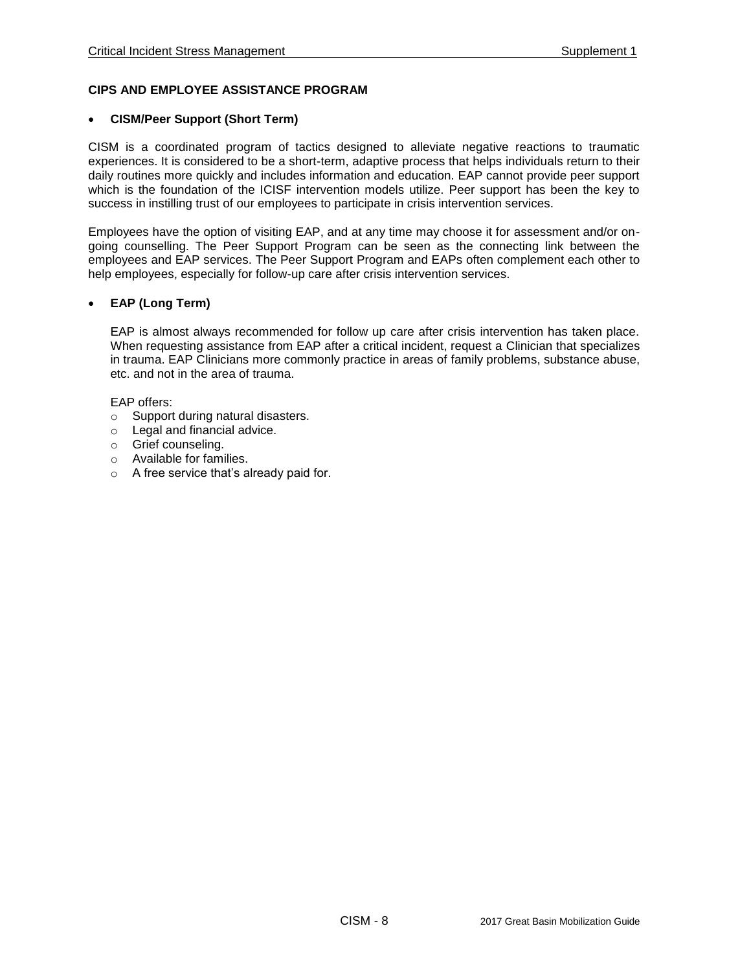## **CIPS AND EMPLOYEE ASSISTANCE PROGRAM**

#### **CISM/Peer Support (Short Term)**

CISM is a coordinated program of tactics designed to alleviate negative reactions to traumatic experiences. It is considered to be a short-term, adaptive process that helps individuals return to their daily routines more quickly and includes information and education. EAP cannot provide peer support which is the foundation of the ICISF intervention models utilize. Peer support has been the key to success in instilling trust of our employees to participate in crisis intervention services.

Employees have the option of visiting EAP, and at any time may choose it for assessment and/or ongoing counselling. The Peer Support Program can be seen as the connecting link between the employees and EAP services. The Peer Support Program and EAPs often complement each other to help employees, especially for follow-up care after crisis intervention services.

## **EAP (Long Term)**

EAP is almost always recommended for follow up care after crisis intervention has taken place. When requesting assistance from EAP after a critical incident, request a Clinician that specializes in trauma. EAP Clinicians more commonly practice in areas of family problems, substance abuse, etc. and not in the area of trauma.

#### EAP offers:

- o Support during natural disasters.
- o Legal and financial advice.
- o Grief counseling.
- o Available for families.
- o A free service that's already paid for.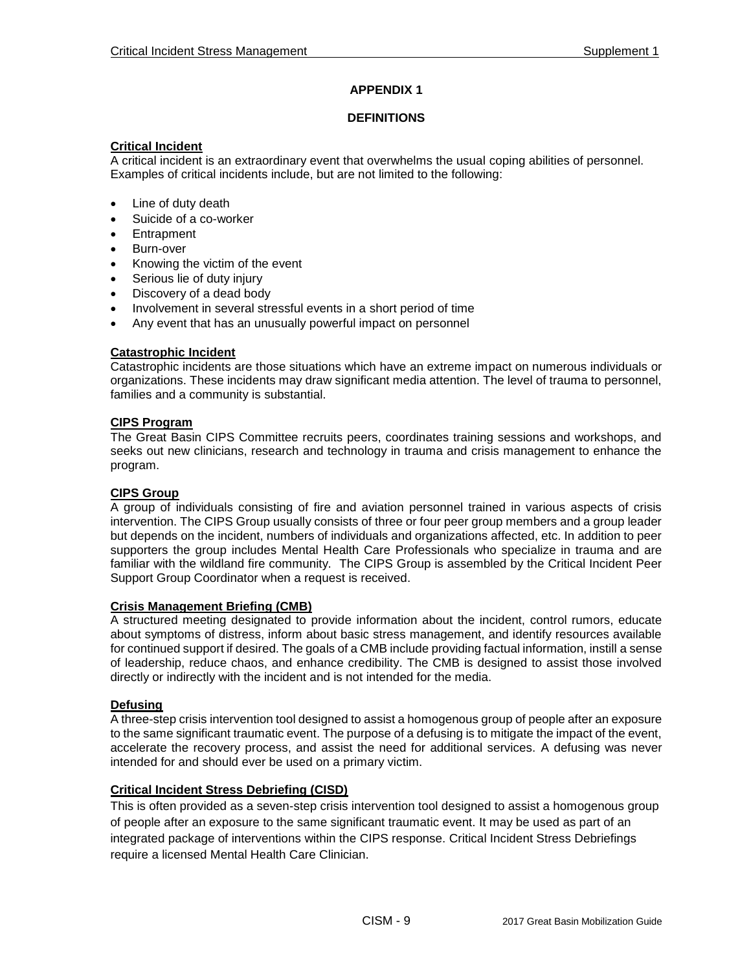## **APPENDIX 1**

## **DEFINITIONS**

#### **Critical Incident**

A critical incident is an extraordinary event that overwhelms the usual coping abilities of personnel. Examples of critical incidents include, but are not limited to the following:

- Line of duty death
- Suicide of a co-worker
- Entrapment
- Burn-over
- Knowing the victim of the event
- Serious lie of duty injury
- Discovery of a dead body
- Involvement in several stressful events in a short period of time
- Any event that has an unusually powerful impact on personnel

## **Catastrophic Incident**

Catastrophic incidents are those situations which have an extreme impact on numerous individuals or organizations. These incidents may draw significant media attention. The level of trauma to personnel, families and a community is substantial.

## **CIPS Program**

The Great Basin CIPS Committee recruits peers, coordinates training sessions and workshops, and seeks out new clinicians, research and technology in trauma and crisis management to enhance the program.

## **CIPS Group**

A group of individuals consisting of fire and aviation personnel trained in various aspects of crisis intervention. The CIPS Group usually consists of three or four peer group members and a group leader but depends on the incident, numbers of individuals and organizations affected, etc. In addition to peer supporters the group includes Mental Health Care Professionals who specialize in trauma and are familiar with the wildland fire community. The CIPS Group is assembled by the Critical Incident Peer Support Group Coordinator when a request is received.

#### **Crisis Management Briefing (CMB)**

A structured meeting designated to provide information about the incident, control rumors, educate about symptoms of distress, inform about basic stress management, and identify resources available for continued support if desired. The goals of a CMB include providing factual information, instill a sense of leadership, reduce chaos, and enhance credibility. The CMB is designed to assist those involved directly or indirectly with the incident and is not intended for the media.

#### **Defusing**

A three-step crisis intervention tool designed to assist a homogenous group of people after an exposure to the same significant traumatic event. The purpose of a defusing is to mitigate the impact of the event, accelerate the recovery process, and assist the need for additional services. A defusing was never intended for and should ever be used on a primary victim.

## **Critical Incident Stress Debriefing (CISD)**

This is often provided as a seven-step crisis intervention tool designed to assist a homogenous group of people after an exposure to the same significant traumatic event. It may be used as part of an integrated package of interventions within the CIPS response. Critical Incident Stress Debriefings require a licensed Mental Health Care Clinician.